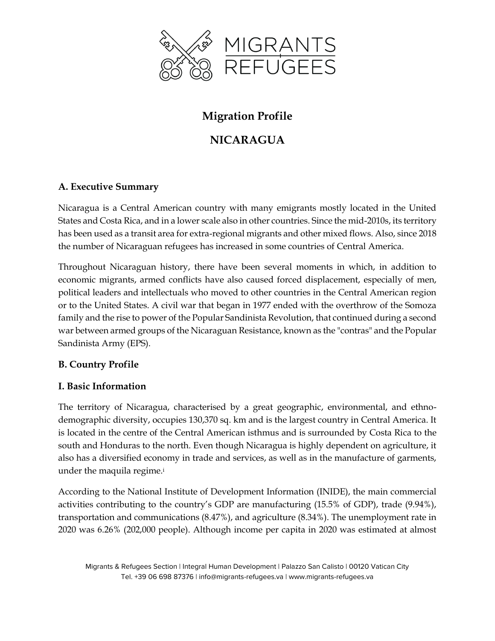

# **Migration Profile**

# **NICARAGUA**

# **A. Executive Summary**

Nicaragua is a Central American country with many emigrants mostly located in the United States and Costa Rica, and in a lower scale also in other countries. Since the mid-2010s, its territory has been used as a transit area for extra-regional migrants and other mixed flows. Also, since 2018 the number of Nicaraguan refugees has increased in some countries of Central America.

Throughout Nicaraguan history, there have been several moments in which, in addition to economic migrants, armed conflicts have also caused forced displacement, especially of men, political leaders and intellectuals who moved to other countries in the Central American region or to the United States. A civil war that began in 1977 ended with the overthrow of the Somoza family and the rise to power of the Popular Sandinista Revolution, that continued during a second war between armed groups of the Nicaraguan Resistance, known as the "contras" and the Popular Sandinista Army (EPS).

## **B. Country Profile**

## **I. Basic Information**

The territory of Nicaragua, characterised by a great geographic, environmental, and ethnodemographic diversity, occupies 130,370 sq. km and is the largest country in Central America. It is located in the centre of the Central American isthmus and is surrounded by Costa Rica to the south and Honduras to the north. Even though Nicaragua is highly dependent on agriculture, it also has a diversified economy in trade and services, as well as in the manufacture of garments, under the maquila regime.<sup>i</sup>

According to the National Institute of Development Information (INIDE), the main commercial activities contributing to the country's GDP are manufacturing (15.5% of GDP), trade (9.94%), transportation and communications (8.47%), and agriculture (8.34%). The unemployment rate in 2020 was 6.26% (202,000 people). Although income per capita in 2020 was estimated at almost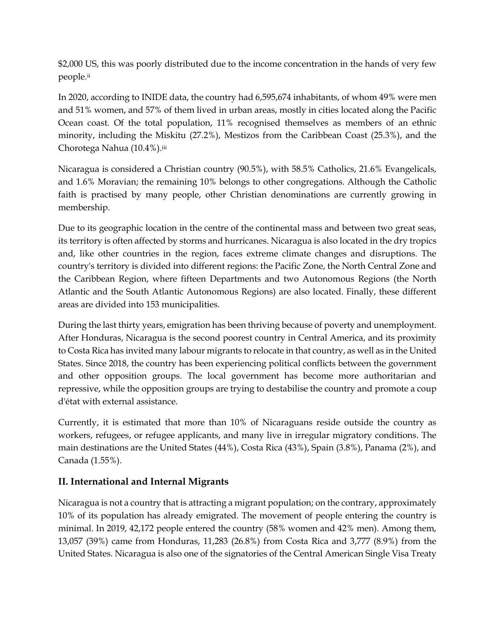\$2,000 US, this was poorly distributed due to the income concentration in the hands of very few people.ii

In 2020, according to INIDE data, the country had 6,595,674 inhabitants, of whom 49% were men and 51% women, and 57% of them lived in urban areas, mostly in cities located along the Pacific Ocean coast. Of the total population, 11% recognised themselves as members of an ethnic minority, including the Miskitu (27.2%), Mestizos from the Caribbean Coast (25.3%), and the Chorotega Nahua (10.4%).iii

Nicaragua is considered a Christian country (90.5%), with 58.5% Catholics, 21.6% Evangelicals, and 1.6% Moravian; the remaining 10% belongs to other congregations. Although the Catholic faith is practised by many people, other Christian denominations are currently growing in membership.

Due to its geographic location in the centre of the continental mass and between two great seas, its territory is often affected by storms and hurricanes. Nicaragua is also located in the dry tropics and, like other countries in the region, faces extreme climate changes and disruptions. The country's territory is divided into different regions: the Pacific Zone, the North Central Zone and the Caribbean Region, where fifteen Departments and two Autonomous Regions (the North Atlantic and the South Atlantic Autonomous Regions) are also located. Finally, these different areas are divided into 153 municipalities.

During the last thirty years, emigration has been thriving because of poverty and unemployment. After Honduras, Nicaragua is the second poorest country in Central America, and its proximity to Costa Rica has invited many labour migrants to relocate in that country, as well as in the United States. Since 2018, the country has been experiencing political conflicts between the government and other opposition groups. The local government has become more authoritarian and repressive, while the opposition groups are trying to destabilise the country and promote a coup d'état with external assistance.

Currently, it is estimated that more than 10% of Nicaraguans reside outside the country as workers, refugees, or refugee applicants, and many live in irregular migratory conditions. The main destinations are the United States (44%), Costa Rica (43%), Spain (3.8%), Panama (2%), and Canada (1.55%).

## **II. International and Internal Migrants**

Nicaragua is not a country that is attracting a migrant population; on the contrary, approximately 10% of its population has already emigrated. The movement of people entering the country is minimal. In 2019, 42,172 people entered the country (58% women and 42% men). Among them, 13,057 (39%) came from Honduras, 11,283 (26.8%) from Costa Rica and 3,777 (8.9%) from the United States. Nicaragua is also one of the signatories of the Central American Single Visa Treaty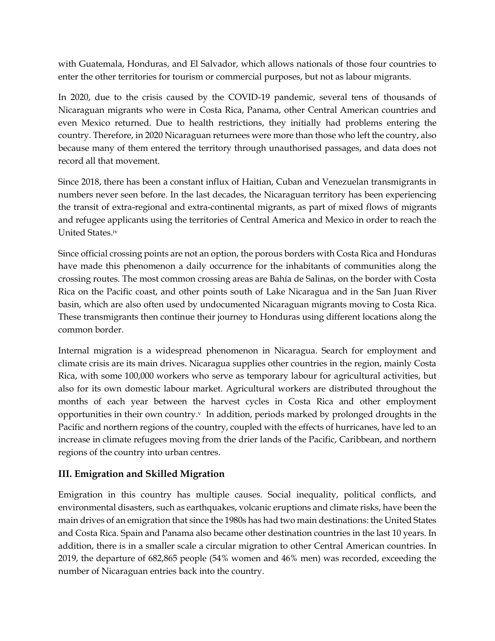with Guatemala, Honduras, and El Salvador, which allows nationals of those four countries to enter the other territories for tourism or commercial purposes, but not as labour migrants.

In 2020, due to the crisis caused by the COVID-19 pandemic, several tens of thousands of Nicaraguan migrants who were in Costa Rica, Panama, other Central American countries and even Mexico returned. Due to health restrictions, they initially had problems entering the country. Therefore, in 2020 Nicaraguan returnees were more than those who left the country, also because many of them entered the territory through unauthorised passages, and data does not record all that movement.

Since 2018, there has been a constant influx of Haitian, Cuban and Venezuelan transmigrants in numbers never seen before. In the last decades, the Nicaraguan territory has been experiencing the transit of extra-regional and extra-continental migrants, as part of mixed flows of migrants and refugee applicants using the territories of Central America and Mexico in order to reach the United States.iv

Since official crossing points are not an option, the porous borders with Costa Rica and Honduras have made this phenomenon a daily occurrence for the inhabitants of communities along the crossing routes. The most common crossing areas are Bahía de Salinas, on the border with Costa Rica on the Pacific coast, and other points south of Lake Nicaragua and in the San Juan River basin, which are also often used by undocumented Nicaraguan migrants moving to Costa Rica. These transmigrants then continue their journey to Honduras using different locations along the common border.

Internal migration is a widespread phenomenon in Nicaragua. Search for employment and climate crisis are its main drives. Nicaragua supplies other countries in the region, mainly Costa Rica, with some 100,000 workers who serve as temporary labour for agricultural activities, but also for its own domestic labour market. Agricultural workers are distributed throughout the months of each year between the harvest cycles in Costa Rica and other employment opportunities in their own country. $v \cdot \ln a$  ddition, periods marked by prolonged droughts in the Pacific and northern regions of the country, coupled with the effects of hurricanes, have led to an increase in climate refugees moving from the drier lands of the Pacific, Caribbean, and northern regions of the country into urban centres.

## **III. Emigration and Skilled Migration**

Emigration in this country has multiple causes. Social inequality, political conflicts, and environmental disasters, such as earthquakes, volcanic eruptions and climate risks, have been the main drives of an emigration that since the 1980s has had two main destinations: the United States and Costa Rica. Spain and Panama also became other destination countries in the last 10 years. In addition, there is in a smaller scale a circular migration to other Central American countries. In 2019, the departure of 682,865 people (54% women and 46% men) was recorded, exceeding the number of Nicaraguan entries back into the country.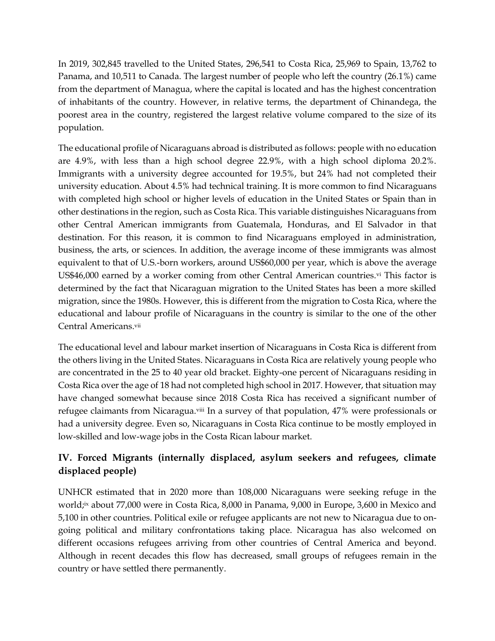In 2019, 302,845 travelled to the United States, 296,541 to Costa Rica, 25,969 to Spain, 13,762 to Panama, and 10,511 to Canada. The largest number of people who left the country (26.1%) came from the department of Managua, where the capital is located and has the highest concentration of inhabitants of the country. However, in relative terms, the department of Chinandega, the poorest area in the country, registered the largest relative volume compared to the size of its population.

The educational profile of Nicaraguans abroad is distributed as follows: people with no education are 4.9%, with less than a high school degree 22.9%, with a high school diploma 20.2%. Immigrants with a university degree accounted for 19.5%, but 24% had not completed their university education. About 4.5% had technical training. It is more common to find Nicaraguans with completed high school or higher levels of education in the United States or Spain than in other destinations in the region, such as Costa Rica. This variable distinguishes Nicaraguans from other Central American immigrants from Guatemala, Honduras, and El Salvador in that destination. For this reason, it is common to find Nicaraguans employed in administration, business, the arts, or sciences. In addition, the average income of these immigrants was almost equivalent to that of U.S.-born workers, around US\$60,000 per year, which is above the average US\$46,000 earned by a worker coming from other Central American countries.vi This factor is determined by the fact that Nicaraguan migration to the United States has been a more skilled migration, since the 1980s. However, this is different from the migration to Costa Rica, where the educational and labour profile of Nicaraguans in the country is similar to the one of the other Central Americans.vii

The educational level and labour market insertion of Nicaraguans in Costa Rica is different from the others living in the United States. Nicaraguans in Costa Rica are relatively young people who are concentrated in the 25 to 40 year old bracket. Eighty-one percent of Nicaraguans residing in Costa Rica over the age of 18 had not completed high school in 2017. However, that situation may have changed somewhat because since 2018 Costa Rica has received a significant number of refugee claimants from Nicaragua.viii In a survey of that population, 47% were professionals or had a university degree. Even so, Nicaraguans in Costa Rica continue to be mostly employed in low-skilled and low-wage jobs in the Costa Rican labour market.

# **IV. Forced Migrants (internally displaced, asylum seekers and refugees, climate displaced people)**

UNHCR estimated that in 2020 more than 108,000 Nicaraguans were seeking refuge in the world;ix about 77,000 were in Costa Rica, 8,000 in Panama, 9,000 in Europe, 3,600 in Mexico and 5,100 in other countries. Political exile or refugee applicants are not new to Nicaragua due to ongoing political and military confrontations taking place. Nicaragua has also welcomed on different occasions refugees arriving from other countries of Central America and beyond. Although in recent decades this flow has decreased, small groups of refugees remain in the country or have settled there permanently.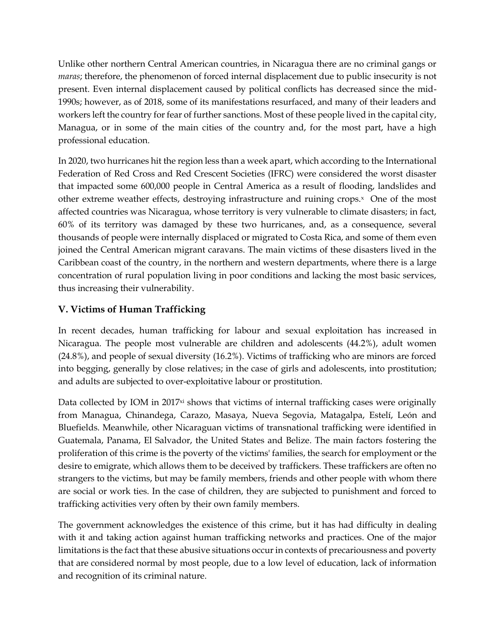Unlike other northern Central American countries, in Nicaragua there are no criminal gangs or *maras*; therefore, the phenomenon of forced internal displacement due to public insecurity is not present. Even internal displacement caused by political conflicts has decreased since the mid-1990s; however, as of 2018, some of its manifestations resurfaced, and many of their leaders and workers left the country for fear of further sanctions. Most of these people lived in the capital city, Managua, or in some of the main cities of the country and, for the most part, have a high professional education.

In 2020, two hurricanes hit the region less than a week apart, which according to the International Federation of Red Cross and Red Crescent Societies (IFRC) were considered the worst disaster that impacted some 600,000 people in Central America as a result of flooding, landslides and other extreme weather effects, destroying infrastructure and ruining crops.<sup>x</sup> One of the most affected countries was Nicaragua, whose territory is very vulnerable to climate disasters; in fact, 60% of its territory was damaged by these two hurricanes, and, as a consequence, several thousands of people were internally displaced or migrated to Costa Rica, and some of them even joined the Central American migrant caravans. The main victims of these disasters lived in the Caribbean coast of the country, in the northern and western departments, where there is a large concentration of rural population living in poor conditions and lacking the most basic services, thus increasing their vulnerability.

# **V. Victims of Human Trafficking**

In recent decades, human trafficking for labour and sexual exploitation has increased in Nicaragua. The people most vulnerable are children and adolescents (44.2%), adult women (24.8%), and people of sexual diversity (16.2%). Victims of trafficking who are minors are forced into begging, generally by close relatives; in the case of girls and adolescents, into prostitution; and adults are subjected to over-exploitative labour or prostitution.

Data collected by IOM in  $2017xi$  shows that victims of internal trafficking cases were originally from Managua, Chinandega, Carazo, Masaya, Nueva Segovia, Matagalpa, Estelí, León and Bluefields. Meanwhile, other Nicaraguan victims of transnational trafficking were identified in Guatemala, Panama, El Salvador, the United States and Belize. The main factors fostering the proliferation of this crime is the poverty of the victims' families, the search for employment or the desire to emigrate, which allows them to be deceived by traffickers. These traffickers are often no strangers to the victims, but may be family members, friends and other people with whom there are social or work ties. In the case of children, they are subjected to punishment and forced to trafficking activities very often by their own family members.

The government acknowledges the existence of this crime, but it has had difficulty in dealing with it and taking action against human trafficking networks and practices. One of the major limitations is the fact that these abusive situations occur in contexts of precariousness and poverty that are considered normal by most people, due to a low level of education, lack of information and recognition of its criminal nature.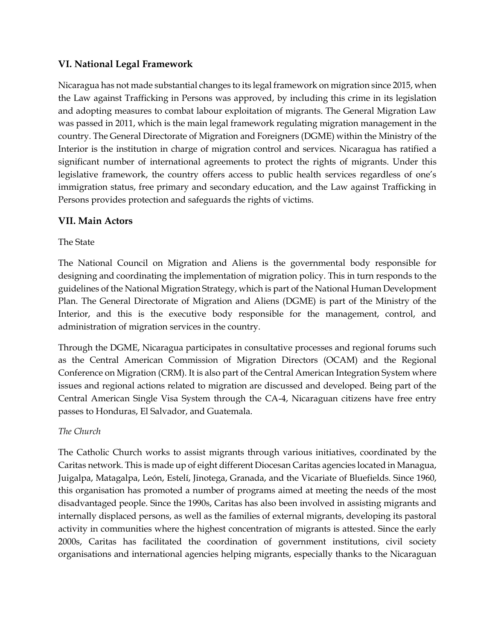### **VI. National Legal Framework**

Nicaragua has not made substantial changes to its legal framework on migration since 2015, when the Law against Trafficking in Persons was approved, by including this crime in its legislation and adopting measures to combat labour exploitation of migrants. The General Migration Law was passed in 2011, which is the main legal framework regulating migration management in the country. The General Directorate of Migration and Foreigners (DGME) within the Ministry of the Interior is the institution in charge of migration control and services. Nicaragua has ratified a significant number of international agreements to protect the rights of migrants. Under this legislative framework, the country offers access to public health services regardless of one's immigration status, free primary and secondary education, and the Law against Trafficking in Persons provides protection and safeguards the rights of victims.

### **VII. Main Actors**

The State

The National Council on Migration and Aliens is the governmental body responsible for designing and coordinating the implementation of migration policy. This in turn responds to the guidelines of the National Migration Strategy, which is part of the National Human Development Plan. The General Directorate of Migration and Aliens (DGME) is part of the Ministry of the Interior, and this is the executive body responsible for the management, control, and administration of migration services in the country.

Through the DGME, Nicaragua participates in consultative processes and regional forums such as the Central American Commission of Migration Directors (OCAM) and the Regional Conference on Migration (CRM). It is also part of the Central American Integration System where issues and regional actions related to migration are discussed and developed. Being part of the Central American Single Visa System through the CA-4, Nicaraguan citizens have free entry passes to Honduras, El Salvador, and Guatemala.

#### *The Church*

The Catholic Church works to assist migrants through various initiatives, coordinated by the Caritas network. This is made up of eight different Diocesan Caritas agencies located in Managua, Juigalpa, Matagalpa, León, Estelí, Jinotega, Granada, and the Vicariate of Bluefields. Since 1960, this organisation has promoted a number of programs aimed at meeting the needs of the most disadvantaged people. Since the 1990s, Caritas has also been involved in assisting migrants and internally displaced persons, as well as the families of external migrants, developing its pastoral activity in communities where the highest concentration of migrants is attested. Since the early 2000s, Caritas has facilitated the coordination of government institutions, civil society organisations and international agencies helping migrants, especially thanks to the Nicaraguan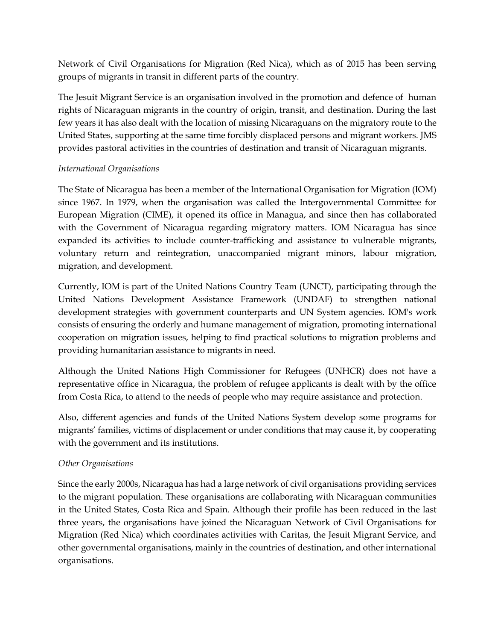Network of Civil Organisations for Migration (Red Nica), which as of 2015 has been serving groups of migrants in transit in different parts of the country.

The Jesuit Migrant Service is an organisation involved in the promotion and defence of human rights of Nicaraguan migrants in the country of origin, transit, and destination. During the last few years it has also dealt with the location of missing Nicaraguans on the migratory route to the United States, supporting at the same time forcibly displaced persons and migrant workers. JMS provides pastoral activities in the countries of destination and transit of Nicaraguan migrants.

#### *International Organisations*

The State of Nicaragua has been a member of the International Organisation for Migration (IOM) since 1967. In 1979, when the organisation was called the Intergovernmental Committee for European Migration (CIME), it opened its office in Managua, and since then has collaborated with the Government of Nicaragua regarding migratory matters. IOM Nicaragua has since expanded its activities to include counter-trafficking and assistance to vulnerable migrants, voluntary return and reintegration, unaccompanied migrant minors, labour migration, migration, and development.

Currently, IOM is part of the United Nations Country Team (UNCT), participating through the United Nations Development Assistance Framework (UNDAF) to strengthen national development strategies with government counterparts and UN System agencies. IOM's work consists of ensuring the orderly and humane management of migration, promoting international cooperation on migration issues, helping to find practical solutions to migration problems and providing humanitarian assistance to migrants in need.

Although the United Nations High Commissioner for Refugees (UNHCR) does not have a representative office in Nicaragua, the problem of refugee applicants is dealt with by the office from Costa Rica, to attend to the needs of people who may require assistance and protection.

Also, different agencies and funds of the United Nations System develop some programs for migrants' families, victims of displacement or under conditions that may cause it, by cooperating with the government and its institutions.

#### *Other Organisations*

Since the early 2000s, Nicaragua has had a large network of civil organisations providing services to the migrant population. These organisations are collaborating with Nicaraguan communities in the United States, Costa Rica and Spain. Although their profile has been reduced in the last three years, the organisations have joined the Nicaraguan Network of Civil Organisations for Migration (Red Nica) which coordinates activities with Caritas, the Jesuit Migrant Service, and other governmental organisations, mainly in the countries of destination, and other international organisations.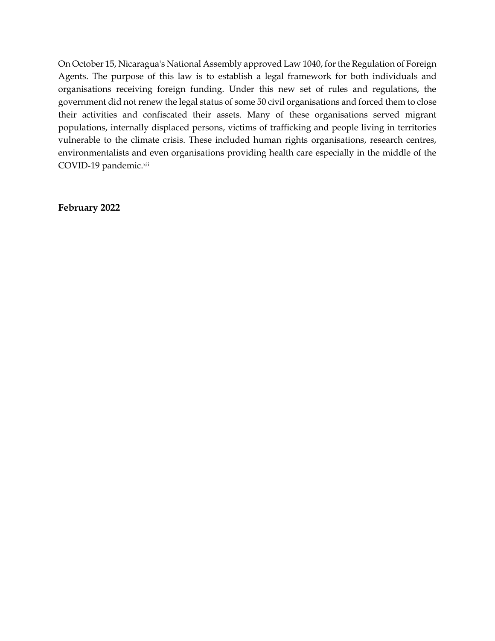On October 15, Nicaragua's National Assembly approved Law 1040, for the Regulation of Foreign Agents. The purpose of this law is to establish a legal framework for both individuals and organisations receiving foreign funding. Under this new set of rules and regulations, the government did not renew the legal status of some 50 civil organisations and forced them to close their activities and confiscated their assets. Many of these organisations served migrant populations, internally displaced persons, victims of trafficking and people living in territories vulnerable to the climate crisis. These included human rights organisations, research centres, environmentalists and even organisations providing health care especially in the middle of the COVID-19 pandemic.xii

**February 2022**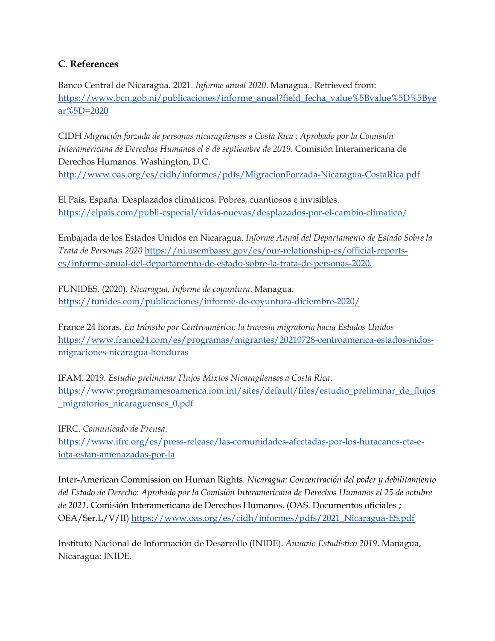## **C. References**

Banco Central de Nicaragua. 2021. *Informe anual 2020*. Managua.. Retrieved from: [https://www.bcn.gob.ni/publicaciones/informe\\_anual?field\\_fecha\\_value%5Bvalue%5D%5Bye](https://www.bcn.gob.ni/publicaciones/informe_anual?field_fecha_value%5Bvalue%5D%5Byear%5D=2020) [ar%5D=2020](https://www.bcn.gob.ni/publicaciones/informe_anual?field_fecha_value%5Bvalue%5D%5Byear%5D=2020)

CIDH *Migración forzada de personas nicaragüenses a Costa Rica : Aprobado por la Comisión Interamericana de Derechos Humanos el 8 de septiembre de 2019*. Comisión Interamericana de Derechos Humanos. Washington, D.C. <http://www.oas.org/es/cidh/informes/pdfs/MigracionForzada-Nicaragua-CostaRica.pdf>

El País, España. Desplazados climáticos. Pobres, cuantiosos e invisibles. <https://elpais.com/publi-especial/vidas-nuevas/desplazados-por-el-cambio-climatico/>

Embajada de los Estados Unidos en Nicaragua. *Informe Anual del Departamento de Estado Sobre la Trata de Personas 2020* [https://ni.usembassy.gov/es/our-relationship-es/official-reports](https://ni.usembassy.gov/es/our-relationship-es/official-reports-es/informe-anual-del-departamento-de-estado-sobre-la-trata-de-personas-2020)[es/informe-anual-del-departamento-de-estado-sobre-la-trata-de-personas-2020.](https://ni.usembassy.gov/es/our-relationship-es/official-reports-es/informe-anual-del-departamento-de-estado-sobre-la-trata-de-personas-2020)

FUNIDES. (2020). *Nicaragua, Informe de coyuntura*. Managua. <https://funides.com/publicaciones/informe-de-coyuntura-diciembre-2020/>

France 24 horas. *En tránsito por Centroamérica: la travesía migratoria hacia Estados Unidos* [https://www.france24.com/es/programas/migrantes/20210728-centroamerica-estados-nidos](https://www.france24.com/es/programas/migrantes/20210728-centroamerica-estados-unidos-migraciones-nicaragua-honduras)[migraciones-nicaragua-honduras](https://www.france24.com/es/programas/migrantes/20210728-centroamerica-estados-unidos-migraciones-nicaragua-honduras)

IFAM. 2019. *Estudio preliminar Flujos Mixtos Nicaragüenses a Costa Rica*. [https://www.programamesoamerica.iom.int/sites/default/files/estudio\\_preliminar\\_de\\_flujos](https://www.programamesoamerica.iom.int/sites/default/files/estudio_preliminar_de_flujos_migratorios_nicaraguenses_0.pdf) [\\_migratorios\\_nicaraguenses\\_0.pdf](https://www.programamesoamerica.iom.int/sites/default/files/estudio_preliminar_de_flujos_migratorios_nicaraguenses_0.pdf)

IFRC. *Comunicado de Prensa*. [https://www.ifrc.org/es/press-release/las-comunidades-afectadas-por-los-huracanes-eta-e](https://www.ifrc.org/es/press-release/las-comunidades-afectadas-por-los-huracanes-eta-e-iota-estan-amenazadas-por-la)[iota-estan-amenazadas-por-la](https://www.ifrc.org/es/press-release/las-comunidades-afectadas-por-los-huracanes-eta-e-iota-estan-amenazadas-por-la)

Inter-American Commission on Human Rights. *Nicaragua: Concentración del poder y debilitamiento del Estado de Derecho*: *Aprobado por la Comisión Interamericana de Derechos Humanos el 25 de octubre de 2021*. Comisión Interamericana de Derechos Humanos. (OAS. Documentos oficiales ; OEA/Ser.L/V/II) [https://www.oas.org/es/cidh/informes/pdfs/2021\\_Nicaragua-ES.pdf](https://www.oas.org/es/cidh/informes/pdfs/2021_Nicaragua-ES.pdf)

Instituto Nacional de Información de Desarrollo (INIDE). *Anuario Estadístico 2019*. Managua, Nicaragua: INIDE.